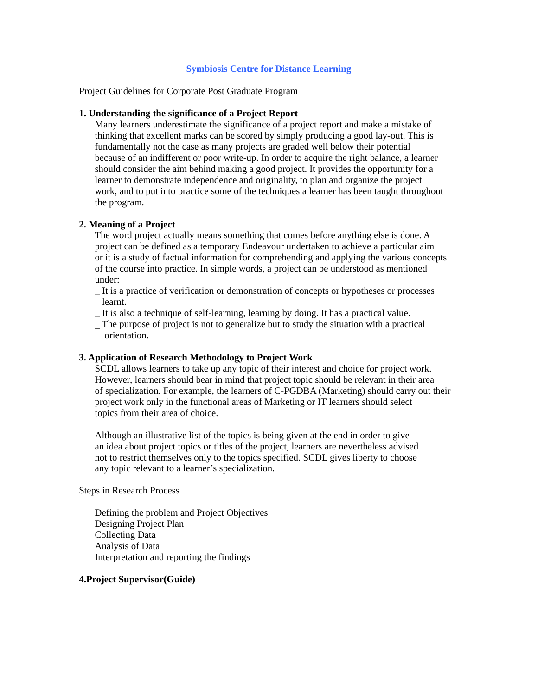## **Symbiosis Centre for Distance Learning**

Project Guidelines for Corporate Post Graduate Program

### **1. Understanding the significance of a Project Report**

Many learners underestimate the significance of a project report and make a mistake of thinking that excellent marks can be scored by simply producing a good lay-out. This is fundamentally not the case as many projects are graded well below their potential because of an indifferent or poor write-up. In order to acquire the right balance, a learner should consider the aim behind making a good project. It provides the opportunity for a learner to demonstrate independence and originality, to plan and organize the project work, and to put into practice some of the techniques a learner has been taught throughout the program.

#### **2. Meaning of a Project**

The word project actually means something that comes before anything else is done. A project can be defined as a temporary Endeavour undertaken to achieve a particular aim or it is a study of factual information for comprehending and applying the various concepts of the course into practice. In simple words, a project can be understood as mentioned under:

- \_ It is a practice of verification or demonstration of concepts or hypotheses or processes learnt.
- \_ It is also a technique of self-learning, learning by doing. It has a practical value.

\_ The purpose of project is not to generalize but to study the situation with a practical orientation.

#### **3. Application of Research Methodology to Project Work**

SCDL allows learners to take up any topic of their interest and choice for project work. However, learners should bear in mind that project topic should be relevant in their area of specialization. For example, the learners of C-PGDBA (Marketing) should carry out their project work only in the functional areas of Marketing or IT learners should select topics from their area of choice.

Although an illustrative list of the topics is being given at the end in order to give an idea about project topics or titles of the project, learners are nevertheless advised not to restrict themselves only to the topics specified. SCDL gives liberty to choose any topic relevant to a learner's specialization.

Steps in Research Process

Defining the problem and Project Objectives Designing Project Plan Collecting Data Analysis of Data Interpretation and reporting the findings

#### **4.Project Supervisor(Guide)**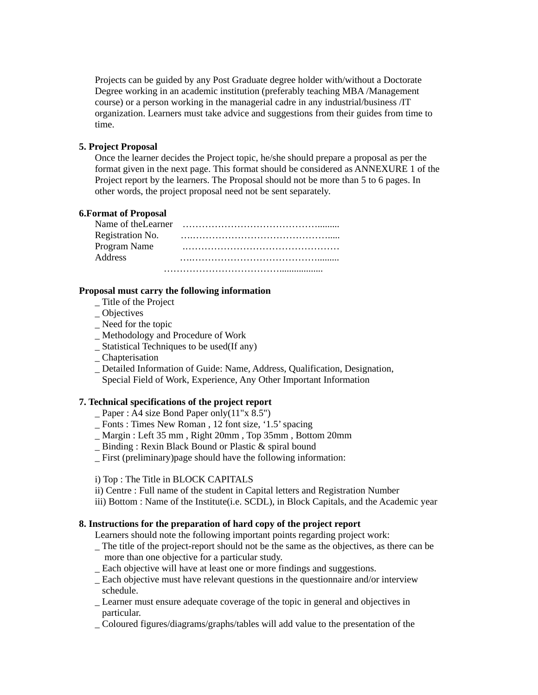Projects can be guided by any Post Graduate degree holder with/without a Doctorate Degree working in an academic institution (preferably teaching MBA /Management course) or a person working in the managerial cadre in any industrial/business /IT organization. Learners must take advice and suggestions from their guides from time to time.

## **5. Project Proposal**

Once the learner decides the Project topic, he/she should prepare a proposal as per the format given in the next page. This format should be considered as ANNEXURE 1 of the Project report by the learners. The Proposal should not be more than 5 to 6 pages. In other words, the project proposal need not be sent separately.

### **6.Format of Proposal**

| Name of the Learner |  |
|---------------------|--|
| Registration No.    |  |
| Program Name        |  |
| <b>Address</b>      |  |

### **Proposal must carry the following information**

- \_ Title of the Project
- \_ Objectives
- \_ Need for the topic
- \_ Methodology and Procedure of Work
- \_ Statistical Techniques to be used(If any)
- \_ Chapterisation
- \_ Detailed Information of Guide: Name, Address, Qualification, Designation, Special Field of Work, Experience, Any Other Important Information

# **7. Technical specifications of the project report**

- $\angle$  Paper : A4 size Bond Paper only(11"x 8.5")
- \_ Fonts : Times New Roman , 12 font size, '1.5' spacing
- \_ Margin : Left 35 mm , Right 20mm , Top 35mm , Bottom 20mm
- Binding : Rexin Black Bound or Plastic & spiral bound
- \_ First (preliminary)page should have the following information:

## i) Top : The Title in BLOCK CAPITALS

- ii) Centre : Full name of the student in Capital letters and Registration Number
- iii) Bottom : Name of the Institute(i.e. SCDL), in Block Capitals, and the Academic year

### **8. Instructions for the preparation of hard copy of the project report**

Learners should note the following important points regarding project work:

- \_ The title of the project-report should not be the same as the objectives, as there can be more than one objective for a particular study.
- \_ Each objective will have at least one or more findings and suggestions.
- \_ Each objective must have relevant questions in the questionnaire and/or interview schedule.
- Learner must ensure adequate coverage of the topic in general and objectives in particular.
- \_ Coloured figures/diagrams/graphs/tables will add value to the presentation of the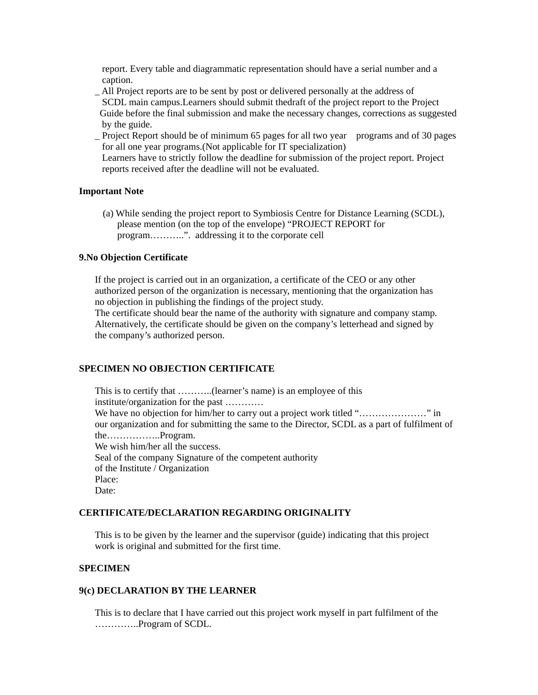report. Every table and diagrammatic representation should have a serial number and a caption.

- \_ All Project reports are to be sent by post or delivered personally at the address of SCDL main campus.Learners should submit thedraft of the project report to the Project Guide before the final submission and make the necessary changes, corrections as suggested by the guide.
- \_ Project Report should be of minimum 65 pages for all two year programs and of 30 pages for all one year programs.(Not applicable for IT specialization) Learners have to strictly follow the deadline for submission of the project report. Project reports received after the deadline will not be evaluated.

#### **Important Note**

(a) While sending the project report to Symbiosis Centre for Distance Learning (SCDL), please mention (on the top of the envelope) "PROJECT REPORT for program………..". addressing it to the corporate cell

#### **9.No Objection Certificate**

If the project is carried out in an organization, a certificate of the CEO or any other authorized person of the organization is necessary, mentioning that the organization has no objection in publishing the findings of the project study.

The certificate should bear the name of the authority with signature and company stamp. Alternatively, the certificate should be given on the company's letterhead and signed by the company's authorized person.

## **SPECIMEN NO OBJECTION CERTIFICATE**

This is to certify that ………..(learner's name) is an employee of this institute/organization for the past ………… We have no objection for him/her to carry out a project work titled "…………………" in our organization and for submitting the same to the Director, SCDL as a part of fulfilment of the……………..Program. We wish him/her all the success. Seal of the company Signature of the competent authority of the Institute / Organization Place: Date:

## **CERTIFICATE/DECLARATION REGARDING ORIGINALITY**

This is to be given by the learner and the supervisor (guide) indicating that this project work is original and submitted for the first time.

### **SPECIMEN**

#### **9(c) DECLARATION BY THE LEARNER**

This is to declare that I have carried out this project work myself in part fulfilment of the …………..Program of SCDL.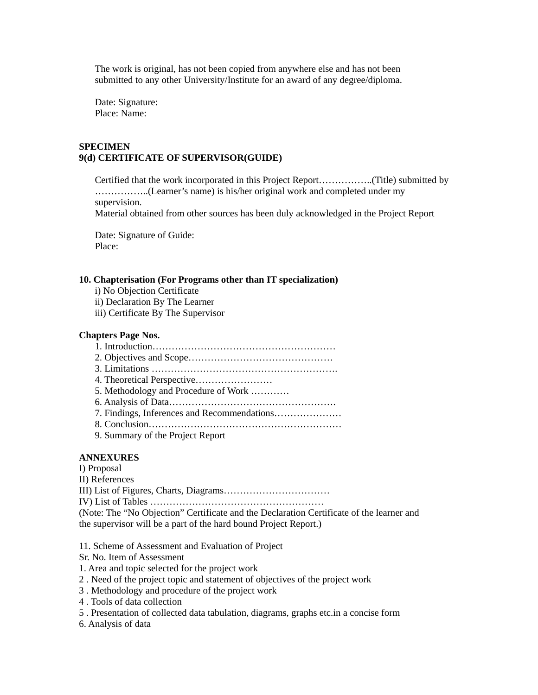The work is original, has not been copied from anywhere else and has not been submitted to any other University/Institute for an award of any degree/diploma.

Date: Signature: Place: Name:

# **SPECIMEN 9(d) CERTIFICATE OF SUPERVISOR(GUIDE)**

Certified that the work incorporated in this Project Report……………..(Title) submitted by ……………..(Learner's name) is his/her original work and completed under my supervision. Material obtained from other sources has been duly acknowledged in the Project Report

Date: Signature of Guide: Place:

## **10. Chapterisation (For Programs other than IT specialization)**

- i) No Objection Certificate
- ii) Declaration By The Learner
- iii) Certificate By The Supervisor

#### **Chapters Page Nos.**

#### **ANNEXURES**

I) Proposal II) References III) List of Figures, Charts, Diagrams…………………………… IV) List of Tables ……………………………………………… (Note: The "No Objection" Certificate and the Declaration Certificate of the learner and the supervisor will be a part of the hard bound Project Report.)

- 11. Scheme of Assessment and Evaluation of Project
- Sr. No. Item of Assessment
- 1. Area and topic selected for the project work
- 2 . Need of the project topic and statement of objectives of the project work
- 3 . Methodology and procedure of the project work
- 4 . Tools of data collection
- 5 . Presentation of collected data tabulation, diagrams, graphs etc.in a concise form
- 6. Analysis of data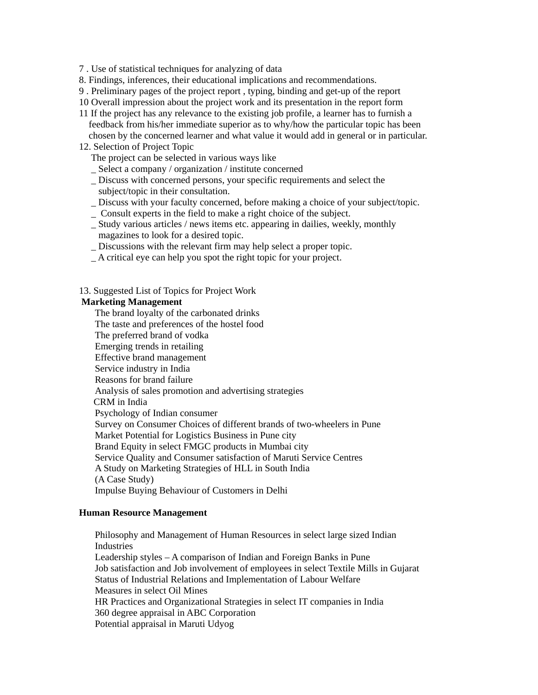7 . Use of statistical techniques for analyzing of data

- 8. Findings, inferences, their educational implications and recommendations.
- 9 . Preliminary pages of the project report , typing, binding and get-up of the report
- 10 Overall impression about the project work and its presentation in the report form
- 11 If the project has any relevance to the existing job profile, a learner has to furnish a feedback from his/her immediate superior as to why/how the particular topic has been chosen by the concerned learner and what value it would add in general or in particular.
- 12. Selection of Project Topic
	- The project can be selected in various ways like
	- \_ Select a company / organization / institute concerned
	- \_ Discuss with concerned persons, your specific requirements and select the subject/topic in their consultation.
	- \_ Discuss with your faculty concerned, before making a choice of your subject/topic. \_ Consult experts in the field to make a right choice of the subject.
	- \_ Study various articles / news items etc. appearing in dailies, weekly, monthly magazines to look for a desired topic.
	- \_ Discussions with the relevant firm may help select a proper topic.
	- \_ A critical eye can help you spot the right topic for your project.

13. Suggested List of Topics for Project Work

# **Marketing Management**

The brand loyalty of the carbonated drinks The taste and preferences of the hostel food The preferred brand of vodka Emerging trends in retailing Effective brand management Service industry in India Reasons for brand failure Analysis of sales promotion and advertising strategies CRM in India Psychology of Indian consumer Survey on Consumer Choices of different brands of two-wheelers in Pune Market Potential for Logistics Business in Pune city Brand Equity in select FMGC products in Mumbai city Service Quality and Consumer satisfaction of Maruti Service Centres A Study on Marketing Strategies of HLL in South India (A Case Study) Impulse Buying Behaviour of Customers in Delhi

### **Human Resource Management**

Philosophy and Management of Human Resources in select large sized Indian Industries Leadership styles – A comparison of Indian and Foreign Banks in Pune Job satisfaction and Job involvement of employees in select Textile Mills in Gujarat Status of Industrial Relations and Implementation of Labour Welfare Measures in select Oil Mines HR Practices and Organizational Strategies in select IT companies in India 360 degree appraisal in ABC Corporation Potential appraisal in Maruti Udyog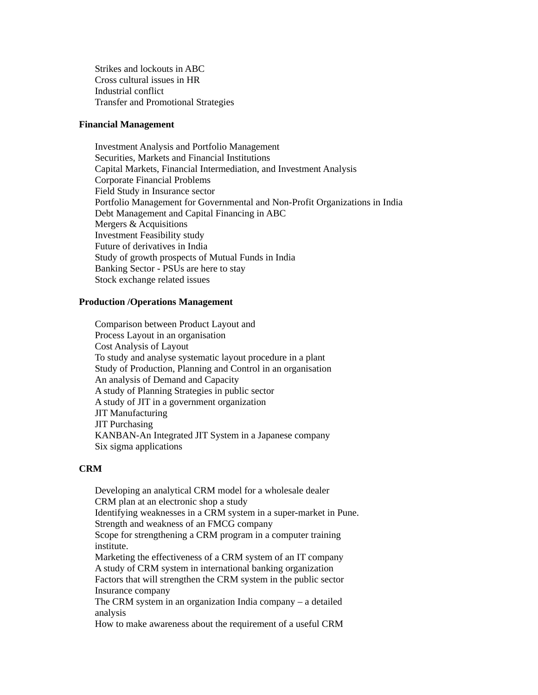Strikes and lockouts in ABC Cross cultural issues in HR Industrial conflict Transfer and Promotional Strategies

#### **Financial Management**

Investment Analysis and Portfolio Management Securities, Markets and Financial Institutions Capital Markets, Financial Intermediation, and Investment Analysis Corporate Financial Problems Field Study in Insurance sector Portfolio Management for Governmental and Non-Profit Organizations in India Debt Management and Capital Financing in ABC Mergers & Acquisitions Investment Feasibility study Future of derivatives in India Study of growth prospects of Mutual Funds in India Banking Sector - PSUs are here to stay Stock exchange related issues

#### **Production /Operations Management**

Comparison between Product Layout and Process Layout in an organisation Cost Analysis of Layout To study and analyse systematic layout procedure in a plant Study of Production, Planning and Control in an organisation An analysis of Demand and Capacity A study of Planning Strategies in public sector A study of JIT in a government organization JIT Manufacturing JIT Purchasing KANBAN-An Integrated JIT System in a Japanese company Six sigma applications

## **CRM**

Developing an analytical CRM model for a wholesale dealer CRM plan at an electronic shop a study Identifying weaknesses in a CRM system in a super-market in Pune. Strength and weakness of an FMCG company Scope for strengthening a CRM program in a computer training institute. Marketing the effectiveness of a CRM system of an IT company A study of CRM system in international banking organization Factors that will strengthen the CRM system in the public sector Insurance company The CRM system in an organization India company – a detailed analysis

How to make awareness about the requirement of a useful CRM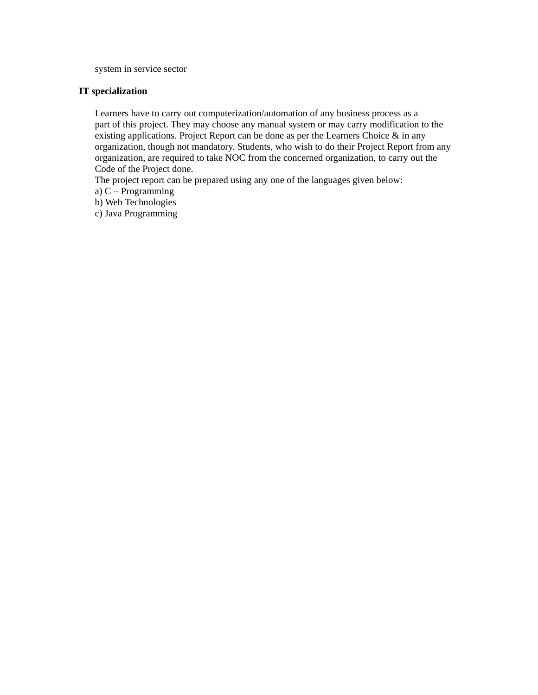system in service sector

## **IT specialization**

Learners have to carry out computerization/automation of any business process as a part of this project. They may choose any manual system or may carry modification to the existing applications. Project Report can be done as per the Learners Choice & in any organization, though not mandatory. Students, who wish to do their Project Report from any organization, are required to take NOC from the concerned organization, to carry out the Code of the Project done.

The project report can be prepared using any one of the languages given below:

a) C – Programming

b) Web Technologies

c) Java Programming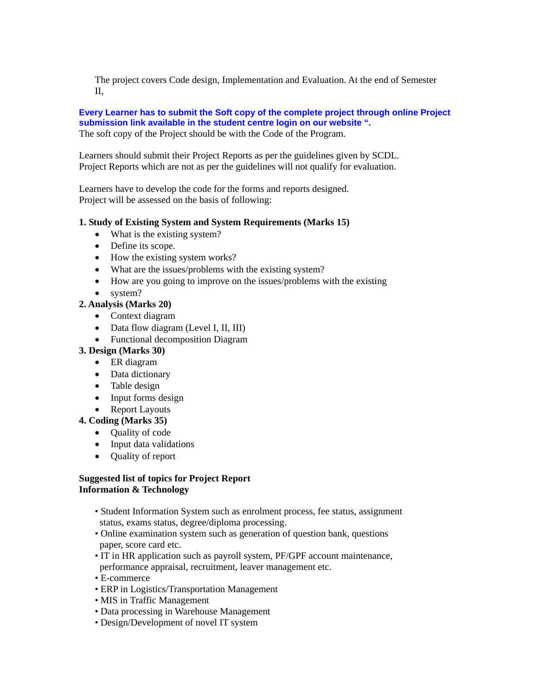The project covers Code design, Implementation and Evaluation. At the end of Semester II,

# **Every Learner has to submit the Soft copy of the complete project through online Project submission link available in the student centre login on our website ".**

The soft copy of the Project should be with the Code of the Program.

Learners should submit their Project Reports as per the guidelines given by SCDL. Project Reports which are not as per the guidelines will not qualify for evaluation.

Learners have to develop the code for the forms and reports designed. Project will be assessed on the basis of following:

# **1. Study of Existing System and System Requirements (Marks 15)**

- What is the existing system?
- Define its scope.
- How the existing system works?
- What are the issues/problems with the existing system?
- How are you going to improve on the issues/problems with the existing
- system?

# **2. Analysis (Marks 20)**

- Context diagram
- Data flow diagram (Level I, II, III)
- Functional decomposition Diagram

# **3. Design (Marks 30)**

- ER diagram
- Data dictionary
- Table design
- Input forms design
- Report Layouts

# **4. Coding (Marks 35)**

- Quality of code
- Input data validations
- Quality of report

## **Suggested list of topics for Project Report Information & Technology**

- Student Information System such as enrolment process, fee status, assignment status, exams status, degree/diploma processing.
- Online examination system such as generation of question bank, questions paper, score card etc.
- IT in HR application such as payroll system, PF/GPF account maintenance, performance appraisal, recruitment, leaver management etc.
- E-commerce
- ERP in Logistics/Transportation Management
- MIS in Traffic Management
- Data processing in Warehouse Management
- Design/Development of novel IT system